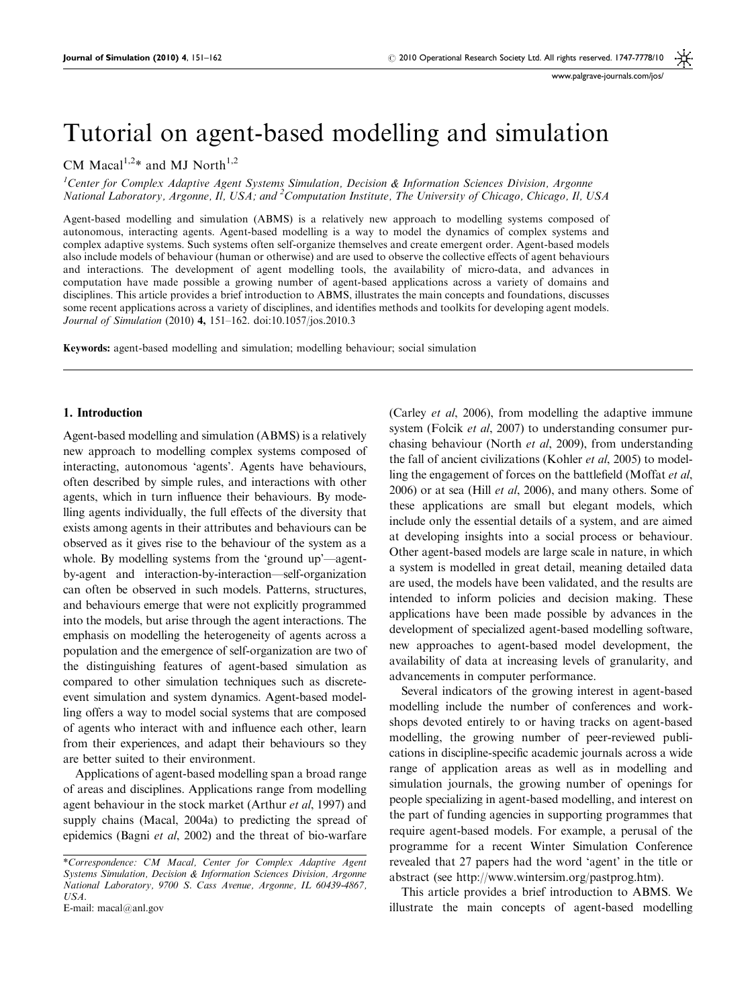www.palgrave-journals.com/jos/

# Tutorial on agent-based modelling and simulation

CM Macal<sup>1,2\*</sup> and MJ North<sup>1,2</sup>

<sup>1</sup>Center for Complex Adaptive Agent Systems Simulation, Decision & Information Sciences Division, Argonne National Laboratory, Argonne, Il, USA; and <sup>2</sup>Computation Institute, The University of Chicago, Chicago, Il, USA

Agent-based modelling and simulation (ABMS) is a relatively new approach to modelling systems composed of autonomous, interacting agents. Agent-based modelling is a way to model the dynamics of complex systems and complex adaptive systems. Such systems often self-organize themselves and create emergent order. Agent-based models also include models of behaviour (human or otherwise) and are used to observe the collective effects of agent behaviours and interactions. The development of agent modelling tools, the availability of micro-data, and advances in computation have made possible a growing number of agent-based applications across a variety of domains and disciplines. This article provides a brief introduction to ABMS, illustrates the main concepts and foundations, discusses some recent applications across a variety of disciplines, and identifies methods and toolkits for developing agent models. Journal of Simulation (2010) 4, 151–162. doi:10.1057/jos.2010.3

Keywords: agent-based modelling and simulation; modelling behaviour; social simulation

## 1. Introduction

Agent-based modelling and simulation (ABMS) is a relatively new approach to modelling complex systems composed of interacting, autonomous 'agents'. Agents have behaviours, often described by simple rules, and interactions with other agents, which in turn influence their behaviours. By modelling agents individually, the full effects of the diversity that exists among agents in their attributes and behaviours can be observed as it gives rise to the behaviour of the system as a whole. By modelling systems from the 'ground up'—agentby-agent and interaction-by-interaction—self-organization can often be observed in such models. Patterns, structures, and behaviours emerge that were not explicitly programmed into the models, but arise through the agent interactions. The emphasis on modelling the heterogeneity of agents across a population and the emergence of self-organization are two of the distinguishing features of agent-based simulation as compared to other simulation techniques such as discreteevent simulation and system dynamics. Agent-based modelling offers a way to model social systems that are composed of agents who interact with and influence each other, learn from their experiences, and adapt their behaviours so they are better suited to their environment.

Applications of agent-based modelling span a broad range of areas and disciplines. Applications range from modelling agent behaviour in the stock market (Arthur et al, 1997) and supply chains (Macal, 2004a) to predicting the spread of epidemics (Bagni et al, 2002) and the threat of bio-warfare (Carley et al, 2006), from modelling the adaptive immune system (Folcik et al, 2007) to understanding consumer purchasing behaviour (North et al, 2009), from understanding the fall of ancient civilizations (Kohler *et al*, 2005) to modelling the engagement of forces on the battlefield (Moffat et al, 2006) or at sea (Hill et al, 2006), and many others. Some of these applications are small but elegant models, which include only the essential details of a system, and are aimed at developing insights into a social process or behaviour. Other agent-based models are large scale in nature, in which a system is modelled in great detail, meaning detailed data are used, the models have been validated, and the results are intended to inform policies and decision making. These applications have been made possible by advances in the development of specialized agent-based modelling software, new approaches to agent-based model development, the availability of data at increasing levels of granularity, and advancements in computer performance.

Several indicators of the growing interest in agent-based modelling include the number of conferences and workshops devoted entirely to or having tracks on agent-based modelling, the growing number of peer-reviewed publications in discipline-specific academic journals across a wide range of application areas as well as in modelling and simulation journals, the growing number of openings for people specializing in agent-based modelling, and interest on the part of funding agencies in supporting programmes that require agent-based models. For example, a perusal of the programme for a recent Winter Simulation Conference revealed that 27 papers had the word 'agent' in the title or abstract (see http://www.wintersim.org/pastprog.htm).

This article provides a brief introduction to ABMS. We illustrate the main concepts of agent-based modelling

<sup>\*</sup>Correspondence: CM Macal, Center for Complex Adaptive Agent Systems Simulation, Decision & Information Sciences Division, Argonne National Laboratory, 9700 S. Cass Avenue, Argonne, IL 60439-4867, USA.

E-mail: macal@anl.gov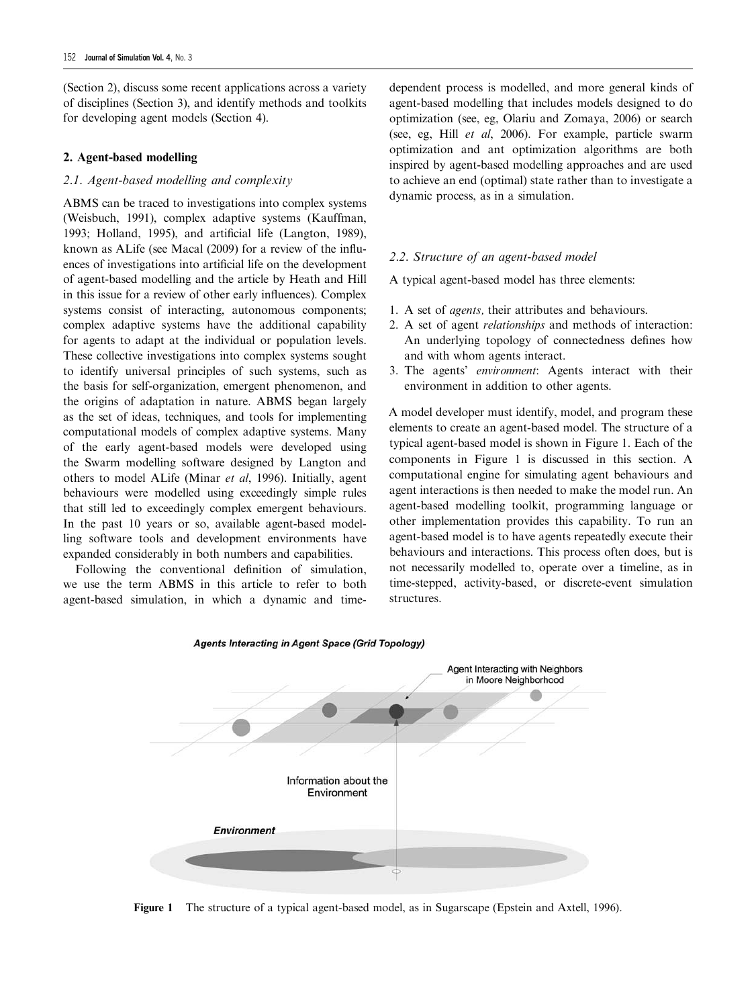(Section 2), discuss some recent applications across a variety of disciplines (Section 3), and identify methods and toolkits for developing agent models (Section 4).

#### 2. Agent-based modelling

## 2.1. Agent-based modelling and complexity

ABMS can be traced to investigations into complex systems (Weisbuch, 1991), complex adaptive systems (Kauffman, 1993; Holland, 1995), and artificial life (Langton, 1989), known as ALife (see Macal (2009) for a review of the influences of investigations into artificial life on the development of agent-based modelling and the article by Heath and Hill in this issue for a review of other early influences). Complex systems consist of interacting, autonomous components; complex adaptive systems have the additional capability for agents to adapt at the individual or population levels. These collective investigations into complex systems sought to identify universal principles of such systems, such as the basis for self-organization, emergent phenomenon, and the origins of adaptation in nature. ABMS began largely as the set of ideas, techniques, and tools for implementing computational models of complex adaptive systems. Many of the early agent-based models were developed using the Swarm modelling software designed by Langton and others to model ALife (Minar et al, 1996). Initially, agent behaviours were modelled using exceedingly simple rules that still led to exceedingly complex emergent behaviours. In the past 10 years or so, available agent-based modelling software tools and development environments have expanded considerably in both numbers and capabilities.

Following the conventional definition of simulation, we use the term ABMS in this article to refer to both agent-based simulation, in which a dynamic and timedependent process is modelled, and more general kinds of agent-based modelling that includes models designed to do optimization (see, eg, Olariu and Zomaya, 2006) or search (see, eg, Hill et al, 2006). For example, particle swarm optimization and ant optimization algorithms are both inspired by agent-based modelling approaches and are used to achieve an end (optimal) state rather than to investigate a dynamic process, as in a simulation.

## 2.2. Structure of an agent-based model

A typical agent-based model has three elements:

- 1. A set of agents, their attributes and behaviours.
- 2. A set of agent relationships and methods of interaction: An underlying topology of connectedness defines how and with whom agents interact.
- 3. The agents' environment: Agents interact with their environment in addition to other agents.

A model developer must identify, model, and program these elements to create an agent-based model. The structure of a typical agent-based model is shown in Figure 1. Each of the components in Figure 1 is discussed in this section. A computational engine for simulating agent behaviours and agent interactions is then needed to make the model run. An agent-based modelling toolkit, programming language or other implementation provides this capability. To run an agent-based model is to have agents repeatedly execute their behaviours and interactions. This process often does, but is not necessarily modelled to, operate over a timeline, as in time-stepped, activity-based, or discrete-event simulation structures.



Figure 1 The structure of a typical agent-based model, as in Sugarscape (Epstein and Axtell, 1996).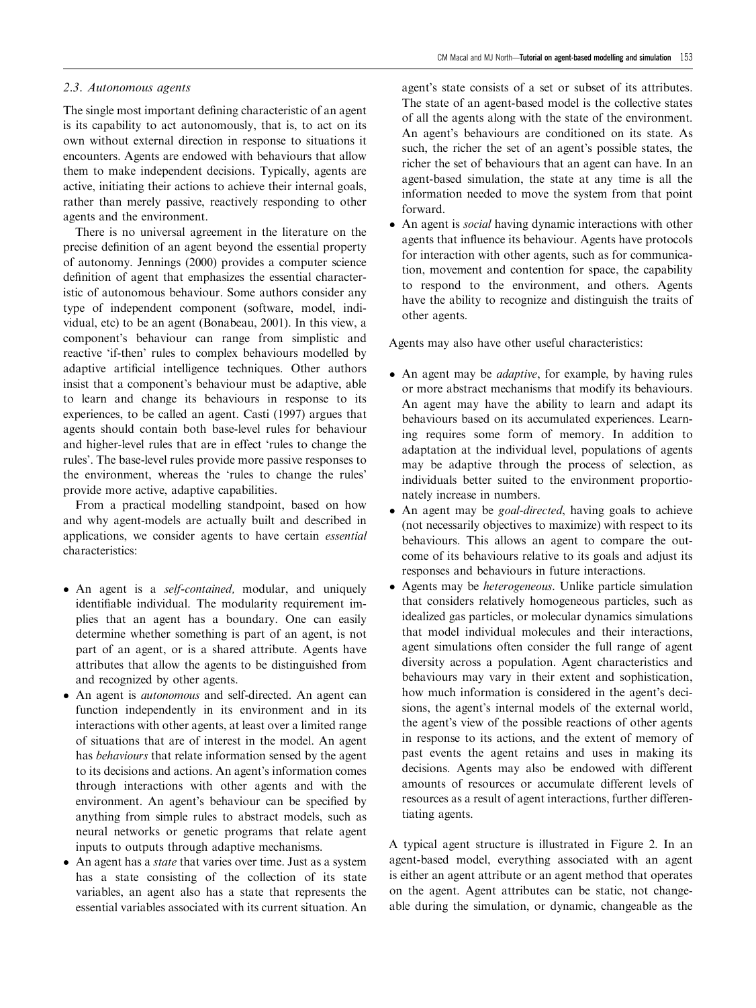#### 2.3. Autonomous agents

The single most important defining characteristic of an agent is its capability to act autonomously, that is, to act on its own without external direction in response to situations it encounters. Agents are endowed with behaviours that allow them to make independent decisions. Typically, agents are active, initiating their actions to achieve their internal goals, rather than merely passive, reactively responding to other agents and the environment.

There is no universal agreement in the literature on the precise definition of an agent beyond the essential property of autonomy. Jennings (2000) provides a computer science definition of agent that emphasizes the essential characteristic of autonomous behaviour. Some authors consider any type of independent component (software, model, individual, etc) to be an agent (Bonabeau, 2001). In this view, a component's behaviour can range from simplistic and reactive 'if-then' rules to complex behaviours modelled by adaptive artificial intelligence techniques. Other authors insist that a component's behaviour must be adaptive, able to learn and change its behaviours in response to its experiences, to be called an agent. Casti (1997) argues that agents should contain both base-level rules for behaviour and higher-level rules that are in effect 'rules to change the rules'. The base-level rules provide more passive responses to the environment, whereas the 'rules to change the rules' provide more active, adaptive capabilities.

From a practical modelling standpoint, based on how and why agent-models are actually built and described in applications, we consider agents to have certain essential characteristics:

- An agent is a self-contained, modular, and uniquely identifiable individual. The modularity requirement implies that an agent has a boundary. One can easily determine whether something is part of an agent, is not part of an agent, or is a shared attribute. Agents have attributes that allow the agents to be distinguished from and recognized by other agents.
- An agent is *autonomous* and self-directed. An agent can function independently in its environment and in its interactions with other agents, at least over a limited range of situations that are of interest in the model. An agent has behaviours that relate information sensed by the agent to its decisions and actions. An agent's information comes through interactions with other agents and with the environment. An agent's behaviour can be specified by anything from simple rules to abstract models, such as neural networks or genetic programs that relate agent inputs to outputs through adaptive mechanisms.
- $\bullet$ An agent has a *state* that varies over time. Just as a system has a state consisting of the collection of its state variables, an agent also has a state that represents the essential variables associated with its current situation. An

agent's state consists of a set or subset of its attributes. The state of an agent-based model is the collective states of all the agents along with the state of the environment. An agent's behaviours are conditioned on its state. As such, the richer the set of an agent's possible states, the richer the set of behaviours that an agent can have. In an agent-based simulation, the state at any time is all the information needed to move the system from that point forward.

• An agent is *social* having dynamic interactions with other agents that influence its behaviour. Agents have protocols for interaction with other agents, such as for communication, movement and contention for space, the capability to respond to the environment, and others. Agents have the ability to recognize and distinguish the traits of other agents.

Agents may also have other useful characteristics:

- An agent may be *adaptive*, for example, by having rules or more abstract mechanisms that modify its behaviours. An agent may have the ability to learn and adapt its behaviours based on its accumulated experiences. Learning requires some form of memory. In addition to adaptation at the individual level, populations of agents may be adaptive through the process of selection, as individuals better suited to the environment proportionately increase in numbers.
- An agent may be *goal-directed*, having goals to achieve (not necessarily objectives to maximize) with respect to its behaviours. This allows an agent to compare the outcome of its behaviours relative to its goals and adjust its responses and behaviours in future interactions.
- Agents may be *heterogeneous*. Unlike particle simulation that considers relatively homogeneous particles, such as idealized gas particles, or molecular dynamics simulations that model individual molecules and their interactions, agent simulations often consider the full range of agent diversity across a population. Agent characteristics and behaviours may vary in their extent and sophistication, how much information is considered in the agent's decisions, the agent's internal models of the external world, the agent's view of the possible reactions of other agents in response to its actions, and the extent of memory of past events the agent retains and uses in making its decisions. Agents may also be endowed with different amounts of resources or accumulate different levels of resources as a result of agent interactions, further differentiating agents.

A typical agent structure is illustrated in Figure 2. In an agent-based model, everything associated with an agent is either an agent attribute or an agent method that operates on the agent. Agent attributes can be static, not changeable during the simulation, or dynamic, changeable as the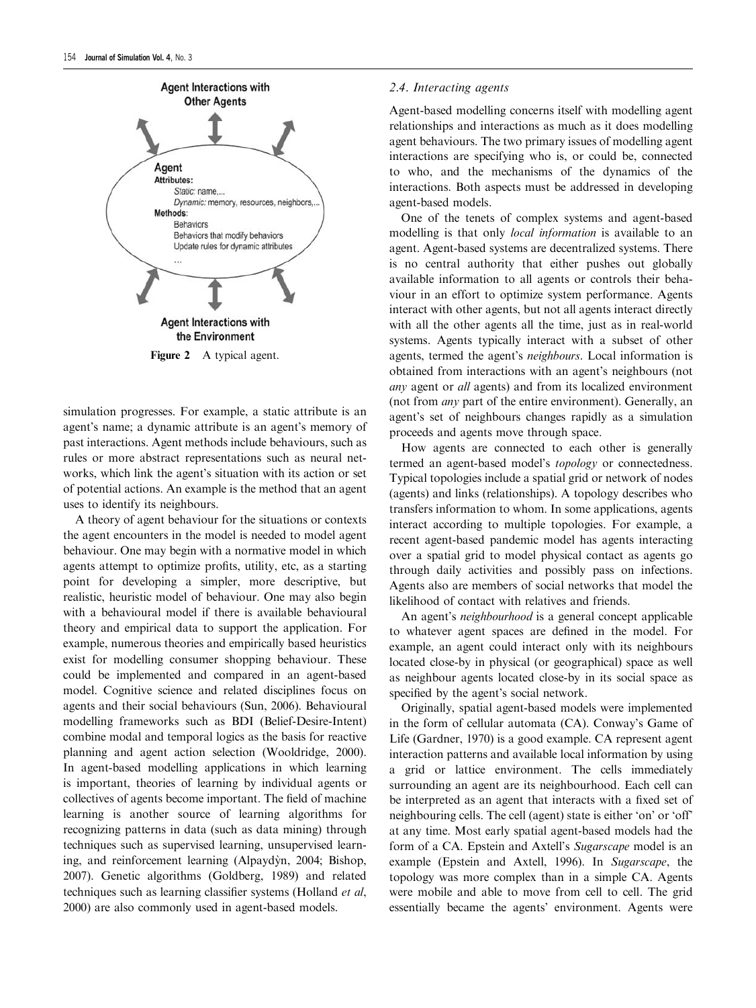

simulation progresses. For example, a static attribute is an agent's name; a dynamic attribute is an agent's memory of past interactions. Agent methods include behaviours, such as rules or more abstract representations such as neural networks, which link the agent's situation with its action or set of potential actions. An example is the method that an agent uses to identify its neighbours.

A theory of agent behaviour for the situations or contexts the agent encounters in the model is needed to model agent behaviour. One may begin with a normative model in which agents attempt to optimize profits, utility, etc, as a starting point for developing a simpler, more descriptive, but realistic, heuristic model of behaviour. One may also begin with a behavioural model if there is available behavioural theory and empirical data to support the application. For example, numerous theories and empirically based heuristics exist for modelling consumer shopping behaviour. These could be implemented and compared in an agent-based model. Cognitive science and related disciplines focus on agents and their social behaviours (Sun, 2006). Behavioural modelling frameworks such as BDI (Belief-Desire-Intent) combine modal and temporal logics as the basis for reactive planning and agent action selection (Wooldridge, 2000). In agent-based modelling applications in which learning is important, theories of learning by individual agents or collectives of agents become important. The field of machine learning is another source of learning algorithms for recognizing patterns in data (such as data mining) through techniques such as supervised learning, unsupervised learning, and reinforcement learning (Alpaydyn, 2004; Bishop, 2007). Genetic algorithms (Goldberg, 1989) and related techniques such as learning classifier systems (Holland et al, 2000) are also commonly used in agent-based models.

## 2.4. Interacting agents

Agent-based modelling concerns itself with modelling agent relationships and interactions as much as it does modelling agent behaviours. The two primary issues of modelling agent interactions are specifying who is, or could be, connected to who, and the mechanisms of the dynamics of the interactions. Both aspects must be addressed in developing agent-based models.

One of the tenets of complex systems and agent-based modelling is that only local information is available to an agent. Agent-based systems are decentralized systems. There is no central authority that either pushes out globally available information to all agents or controls their behaviour in an effort to optimize system performance. Agents interact with other agents, but not all agents interact directly with all the other agents all the time, just as in real-world systems. Agents typically interact with a subset of other agents, termed the agent's neighbours. Local information is obtained from interactions with an agent's neighbours (not any agent or all agents) and from its localized environment (not from any part of the entire environment). Generally, an agent's set of neighbours changes rapidly as a simulation proceeds and agents move through space.

How agents are connected to each other is generally termed an agent-based model's topology or connectedness. Typical topologies include a spatial grid or network of nodes (agents) and links (relationships). A topology describes who transfers information to whom. In some applications, agents interact according to multiple topologies. For example, a recent agent-based pandemic model has agents interacting over a spatial grid to model physical contact as agents go through daily activities and possibly pass on infections. Agents also are members of social networks that model the likelihood of contact with relatives and friends.

An agent's neighbourhood is a general concept applicable to whatever agent spaces are defined in the model. For example, an agent could interact only with its neighbours located close-by in physical (or geographical) space as well as neighbour agents located close-by in its social space as specified by the agent's social network.

Originally, spatial agent-based models were implemented in the form of cellular automata (CA). Conway's Game of Life (Gardner, 1970) is a good example. CA represent agent interaction patterns and available local information by using a grid or lattice environment. The cells immediately surrounding an agent are its neighbourhood. Each cell can be interpreted as an agent that interacts with a fixed set of neighbouring cells. The cell (agent) state is either 'on' or 'off' at any time. Most early spatial agent-based models had the form of a CA. Epstein and Axtell's Sugarscape model is an example (Epstein and Axtell, 1996). In Sugarscape, the topology was more complex than in a simple CA. Agents were mobile and able to move from cell to cell. The grid essentially became the agents' environment. Agents were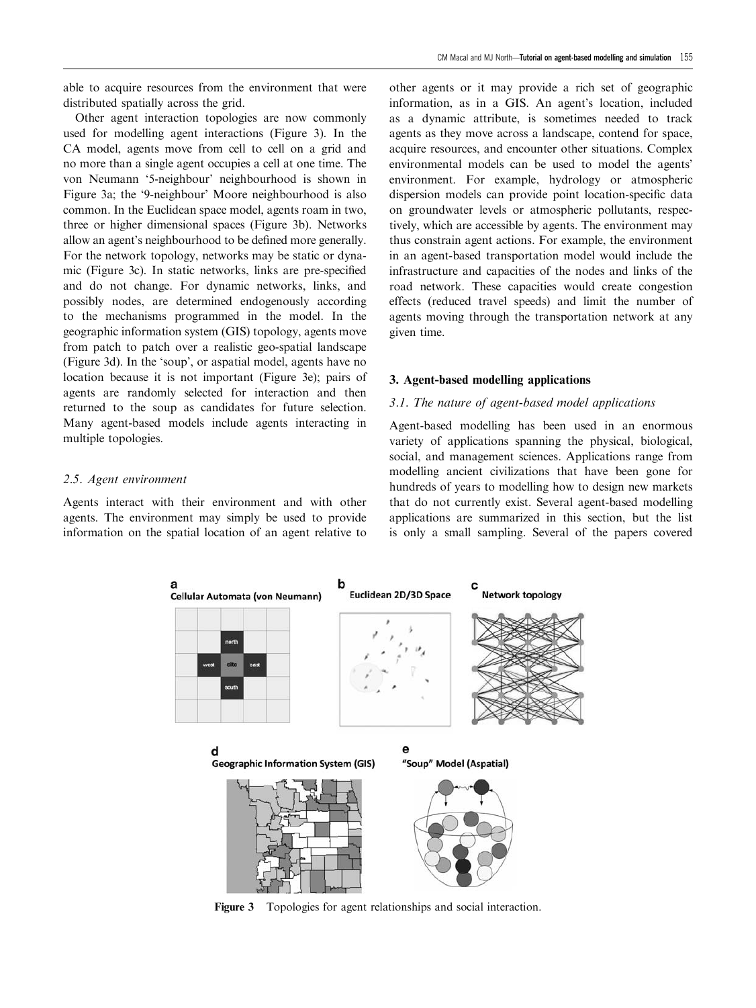able to acquire resources from the environment that were distributed spatially across the grid.

Other agent interaction topologies are now commonly used for modelling agent interactions (Figure 3). In the CA model, agents move from cell to cell on a grid and no more than a single agent occupies a cell at one time. The von Neumann '5-neighbour' neighbourhood is shown in Figure 3a; the '9-neighbour' Moore neighbourhood is also common. In the Euclidean space model, agents roam in two, three or higher dimensional spaces (Figure 3b). Networks allow an agent's neighbourhood to be defined more generally. For the network topology, networks may be static or dynamic (Figure 3c). In static networks, links are pre-specified and do not change. For dynamic networks, links, and possibly nodes, are determined endogenously according to the mechanisms programmed in the model. In the geographic information system (GIS) topology, agents move from patch to patch over a realistic geo-spatial landscape (Figure 3d). In the 'soup', or aspatial model, agents have no location because it is not important (Figure 3e); pairs of agents are randomly selected for interaction and then returned to the soup as candidates for future selection. Many agent-based models include agents interacting in multiple topologies.

#### 2.5. Agent environment

Agents interact with their environment and with other agents. The environment may simply be used to provide information on the spatial location of an agent relative to

other agents or it may provide a rich set of geographic information, as in a GIS. An agent's location, included as a dynamic attribute, is sometimes needed to track agents as they move across a landscape, contend for space, acquire resources, and encounter other situations. Complex environmental models can be used to model the agents' environment. For example, hydrology or atmospheric dispersion models can provide point location-specific data on groundwater levels or atmospheric pollutants, respectively, which are accessible by agents. The environment may thus constrain agent actions. For example, the environment in an agent-based transportation model would include the infrastructure and capacities of the nodes and links of the road network. These capacities would create congestion effects (reduced travel speeds) and limit the number of agents moving through the transportation network at any given time.

## 3. Agent-based modelling applications

### 3.1. The nature of agent-based model applications

Agent-based modelling has been used in an enormous variety of applications spanning the physical, biological, social, and management sciences. Applications range from modelling ancient civilizations that have been gone for hundreds of years to modelling how to design new markets that do not currently exist. Several agent-based modelling applications are summarized in this section, but the list is only a small sampling. Several of the papers covered



Figure 3 Topologies for agent relationships and social interaction.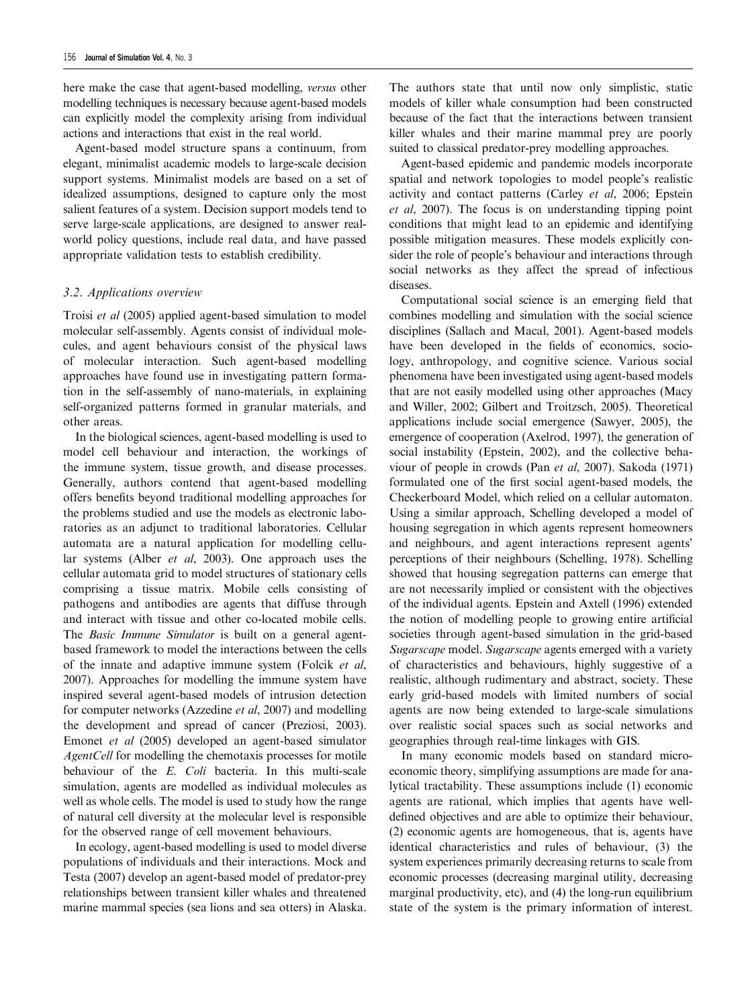here make the case that agent-based modelling, versus other modelling techniques is necessary because agent-based models can explicitly model the complexity arising from individual actions and interactions that exist in the real world.

Agent-based model structure spans a continuum, from elegant, minimalist academic models to large-scale decision support systems. Minimalist models are based on a set of idealized assumptions, designed to capture only the most salient features of a system. Decision support models tend to serve large-scale applications, are designed to answer realworld policy questions, include real data, and have passed appropriate validation tests to establish credibility.

#### 3.2. Applications overview

Troisi et al (2005) applied agent-based simulation to model molecular self-assembly. Agents consist of individual molecules, and agent behaviours consist of the physical laws of molecular interaction. Such agent-based modelling approaches have found use in investigating pattern formation in the self-assembly of nano-materials, in explaining self-organized patterns formed in granular materials, and other areas.

In the biological sciences, agent-based modelling is used to model cell behaviour and interaction, the workings of the immune system, tissue growth, and disease processes. Generally, authors contend that agent-based modelling offers benefits beyond traditional modelling approaches for the problems studied and use the models as electronic laboratories as an adjunct to traditional laboratories. Cellular automata are a natural application for modelling cellular systems (Alber et al, 2003). One approach uses the cellular automata grid to model structures of stationary cells comprising a tissue matrix. Mobile cells consisting of pathogens and antibodies are agents that diffuse through and interact with tissue and other co-located mobile cells. The *Basic Immune Simulator* is built on a general agentbased framework to model the interactions between the cells of the innate and adaptive immune system (Folcik et al, 2007). Approaches for modelling the immune system have inspired several agent-based models of intrusion detection for computer networks (Azzedine et al, 2007) and modelling the development and spread of cancer (Preziosi, 2003). Emonet et al (2005) developed an agent-based simulator AgentCell for modelling the chemotaxis processes for motile behaviour of the E. Coli bacteria. In this multi-scale simulation, agents are modelled as individual molecules as well as whole cells. The model is used to study how the range of natural cell diversity at the molecular level is responsible for the observed range of cell movement behaviours.

In ecology, agent-based modelling is used to model diverse populations of individuals and their interactions. Mock and Testa (2007) develop an agent-based model of predator-prey relationships between transient killer whales and threatened marine mammal species (sea lions and sea otters) in Alaska.

The authors state that until now only simplistic, static models of killer whale consumption had been constructed because of the fact that the interactions between transient killer whales and their marine mammal prey are poorly suited to classical predator-prey modelling approaches.

Agent-based epidemic and pandemic models incorporate spatial and network topologies to model people's realistic activity and contact patterns (Carley et al, 2006; Epstein et al, 2007). The focus is on understanding tipping point conditions that might lead to an epidemic and identifying possible mitigation measures. These models explicitly consider the role of people's behaviour and interactions through social networks as they affect the spread of infectious diseases.

Computational social science is an emerging field that combines modelling and simulation with the social science disciplines (Sallach and Macal, 2001). Agent-based models have been developed in the fields of economics, sociology, anthropology, and cognitive science. Various social phenomena have been investigated using agent-based models that are not easily modelled using other approaches (Macy and Willer, 2002; Gilbert and Troitzsch, 2005). Theoretical applications include social emergence (Sawyer, 2005), the emergence of cooperation (Axelrod, 1997), the generation of social instability (Epstein, 2002), and the collective behaviour of people in crowds (Pan et al, 2007). Sakoda (1971) formulated one of the first social agent-based models, the Checkerboard Model, which relied on a cellular automaton. Using a similar approach, Schelling developed a model of housing segregation in which agents represent homeowners and neighbours, and agent interactions represent agents' perceptions of their neighbours (Schelling, 1978). Schelling showed that housing segregation patterns can emerge that are not necessarily implied or consistent with the objectives of the individual agents. Epstein and Axtell (1996) extended the notion of modelling people to growing entire artificial societies through agent-based simulation in the grid-based Sugarscape model. Sugarscape agents emerged with a variety of characteristics and behaviours, highly suggestive of a realistic, although rudimentary and abstract, society. These early grid-based models with limited numbers of social agents are now being extended to large-scale simulations over realistic social spaces such as social networks and geographies through real-time linkages with GIS.

In many economic models based on standard microeconomic theory, simplifying assumptions are made for analytical tractability. These assumptions include (1) economic agents are rational, which implies that agents have welldefined objectives and are able to optimize their behaviour, (2) economic agents are homogeneous, that is, agents have identical characteristics and rules of behaviour, (3) the system experiences primarily decreasing returns to scale from economic processes (decreasing marginal utility, decreasing marginal productivity, etc), and (4) the long-run equilibrium state of the system is the primary information of interest.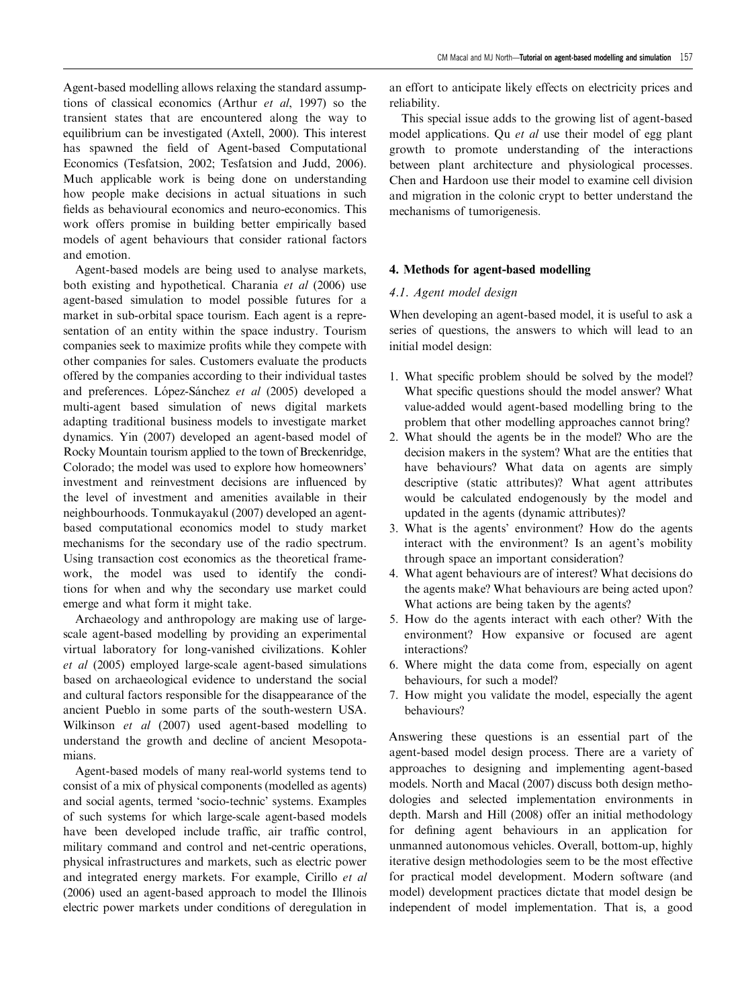Agent-based modelling allows relaxing the standard assumptions of classical economics (Arthur et al, 1997) so the transient states that are encountered along the way to equilibrium can be investigated (Axtell, 2000). This interest has spawned the field of Agent-based Computational Economics (Tesfatsion, 2002; Tesfatsion and Judd, 2006). Much applicable work is being done on understanding how people make decisions in actual situations in such fields as behavioural economics and neuro-economics. This work offers promise in building better empirically based models of agent behaviours that consider rational factors and emotion.

Agent-based models are being used to analyse markets, both existing and hypothetical. Charania et al (2006) use agent-based simulation to model possible futures for a market in sub-orbital space tourism. Each agent is a representation of an entity within the space industry. Tourism companies seek to maximize profits while they compete with other companies for sales. Customers evaluate the products offered by the companies according to their individual tastes and preferences. López-Sánchez et al (2005) developed a multi-agent based simulation of news digital markets adapting traditional business models to investigate market dynamics. Yin (2007) developed an agent-based model of Rocky Mountain tourism applied to the town of Breckenridge, Colorado; the model was used to explore how homeowners' investment and reinvestment decisions are influenced by the level of investment and amenities available in their neighbourhoods. Tonmukayakul (2007) developed an agentbased computational economics model to study market mechanisms for the secondary use of the radio spectrum. Using transaction cost economics as the theoretical framework, the model was used to identify the conditions for when and why the secondary use market could emerge and what form it might take.

Archaeology and anthropology are making use of largescale agent-based modelling by providing an experimental virtual laboratory for long-vanished civilizations. Kohler et al (2005) employed large-scale agent-based simulations based on archaeological evidence to understand the social and cultural factors responsible for the disappearance of the ancient Pueblo in some parts of the south-western USA. Wilkinson et al (2007) used agent-based modelling to understand the growth and decline of ancient Mesopotamians.

Agent-based models of many real-world systems tend to consist of a mix of physical components (modelled as agents) and social agents, termed 'socio-technic' systems. Examples of such systems for which large-scale agent-based models have been developed include traffic, air traffic control, military command and control and net-centric operations, physical infrastructures and markets, such as electric power and integrated energy markets. For example, Cirillo et al (2006) used an agent-based approach to model the Illinois electric power markets under conditions of deregulation in an effort to anticipate likely effects on electricity prices and reliability.

This special issue adds to the growing list of agent-based model applications. Ou *et al* use their model of egg plant growth to promote understanding of the interactions between plant architecture and physiological processes. Chen and Hardoon use their model to examine cell division and migration in the colonic crypt to better understand the mechanisms of tumorigenesis.

# 4. Methods for agent-based modelling

# 4.1. Agent model design

When developing an agent-based model, it is useful to ask a series of questions, the answers to which will lead to an initial model design:

- 1. What specific problem should be solved by the model? What specific questions should the model answer? What value-added would agent-based modelling bring to the problem that other modelling approaches cannot bring?
- 2. What should the agents be in the model? Who are the decision makers in the system? What are the entities that have behaviours? What data on agents are simply descriptive (static attributes)? What agent attributes would be calculated endogenously by the model and updated in the agents (dynamic attributes)?
- 3. What is the agents' environment? How do the agents interact with the environment? Is an agent's mobility through space an important consideration?
- 4. What agent behaviours are of interest? What decisions do the agents make? What behaviours are being acted upon? What actions are being taken by the agents?
- 5. How do the agents interact with each other? With the environment? How expansive or focused are agent interactions?
- 6. Where might the data come from, especially on agent behaviours, for such a model?
- 7. How might you validate the model, especially the agent behaviours?

Answering these questions is an essential part of the agent-based model design process. There are a variety of approaches to designing and implementing agent-based models. North and Macal (2007) discuss both design methodologies and selected implementation environments in depth. Marsh and Hill (2008) offer an initial methodology for defining agent behaviours in an application for unmanned autonomous vehicles. Overall, bottom-up, highly iterative design methodologies seem to be the most effective for practical model development. Modern software (and model) development practices dictate that model design be independent of model implementation. That is, a good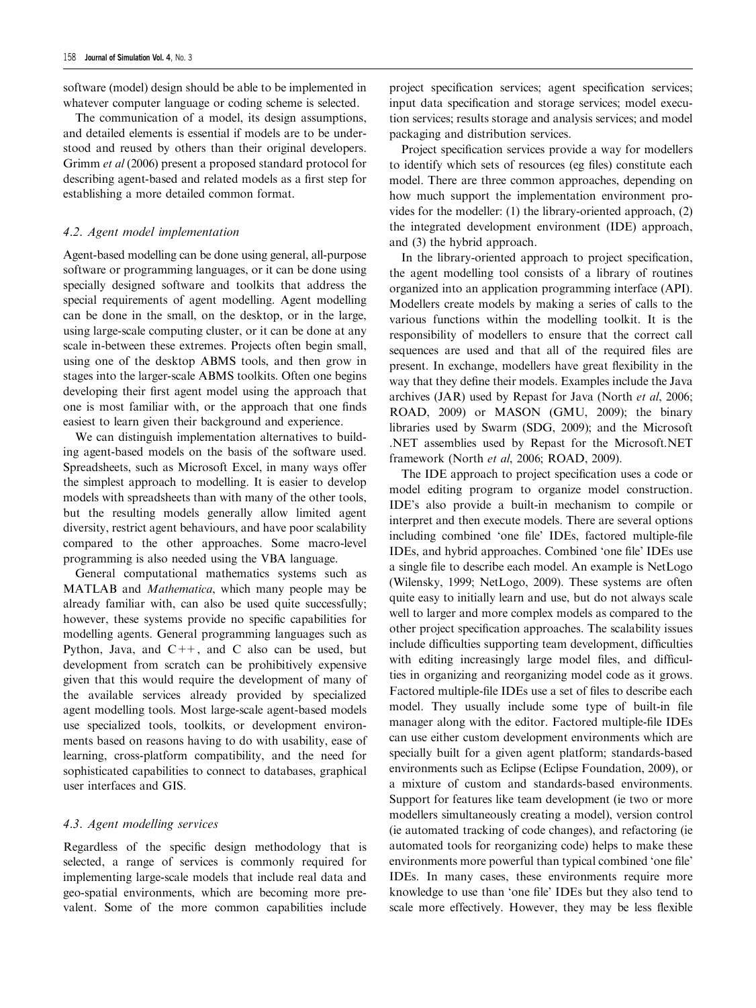software (model) design should be able to be implemented in whatever computer language or coding scheme is selected.

The communication of a model, its design assumptions, and detailed elements is essential if models are to be understood and reused by others than their original developers. Grimm et al (2006) present a proposed standard protocol for describing agent-based and related models as a first step for establishing a more detailed common format.

#### 4.2. Agent model implementation

Agent-based modelling can be done using general, all-purpose software or programming languages, or it can be done using specially designed software and toolkits that address the special requirements of agent modelling. Agent modelling can be done in the small, on the desktop, or in the large, using large-scale computing cluster, or it can be done at any scale in-between these extremes. Projects often begin small, using one of the desktop ABMS tools, and then grow in stages into the larger-scale ABMS toolkits. Often one begins developing their first agent model using the approach that one is most familiar with, or the approach that one finds easiest to learn given their background and experience.

We can distinguish implementation alternatives to building agent-based models on the basis of the software used. Spreadsheets, such as Microsoft Excel, in many ways offer the simplest approach to modelling. It is easier to develop models with spreadsheets than with many of the other tools, but the resulting models generally allow limited agent diversity, restrict agent behaviours, and have poor scalability compared to the other approaches. Some macro-level programming is also needed using the VBA language.

General computational mathematics systems such as MATLAB and *Mathematica*, which many people may be already familiar with, can also be used quite successfully; however, these systems provide no specific capabilities for modelling agents. General programming languages such as Python, Java, and  $C++$ , and C also can be used, but development from scratch can be prohibitively expensive given that this would require the development of many of the available services already provided by specialized agent modelling tools. Most large-scale agent-based models use specialized tools, toolkits, or development environments based on reasons having to do with usability, ease of learning, cross-platform compatibility, and the need for sophisticated capabilities to connect to databases, graphical user interfaces and GIS.

## 4.3. Agent modelling services

Regardless of the specific design methodology that is selected, a range of services is commonly required for implementing large-scale models that include real data and geo-spatial environments, which are becoming more prevalent. Some of the more common capabilities include

project specification services; agent specification services; input data specification and storage services; model execution services; results storage and analysis services; and model packaging and distribution services.

Project specification services provide a way for modellers to identify which sets of resources (eg files) constitute each model. There are three common approaches, depending on how much support the implementation environment provides for the modeller: (1) the library-oriented approach, (2) the integrated development environment (IDE) approach, and (3) the hybrid approach.

In the library-oriented approach to project specification, the agent modelling tool consists of a library of routines organized into an application programming interface (API). Modellers create models by making a series of calls to the various functions within the modelling toolkit. It is the responsibility of modellers to ensure that the correct call sequences are used and that all of the required files are present. In exchange, modellers have great flexibility in the way that they define their models. Examples include the Java archives (JAR) used by Repast for Java (North et al, 2006; ROAD, 2009) or MASON (GMU, 2009); the binary libraries used by Swarm (SDG, 2009); and the Microsoft .NET assemblies used by Repast for the Microsoft.NET framework (North et al, 2006; ROAD, 2009).

The IDE approach to project specification uses a code or model editing program to organize model construction. IDE's also provide a built-in mechanism to compile or interpret and then execute models. There are several options including combined 'one file' IDEs, factored multiple-file IDEs, and hybrid approaches. Combined 'one file' IDEs use a single file to describe each model. An example is NetLogo (Wilensky, 1999; NetLogo, 2009). These systems are often quite easy to initially learn and use, but do not always scale well to larger and more complex models as compared to the other project specification approaches. The scalability issues include difficulties supporting team development, difficulties with editing increasingly large model files, and difficulties in organizing and reorganizing model code as it grows. Factored multiple-file IDEs use a set of files to describe each model. They usually include some type of built-in file manager along with the editor. Factored multiple-file IDEs can use either custom development environments which are specially built for a given agent platform; standards-based environments such as Eclipse (Eclipse Foundation, 2009), or a mixture of custom and standards-based environments. Support for features like team development (ie two or more modellers simultaneously creating a model), version control (ie automated tracking of code changes), and refactoring (ie automated tools for reorganizing code) helps to make these environments more powerful than typical combined 'one file' IDEs. In many cases, these environments require more knowledge to use than 'one file' IDEs but they also tend to scale more effectively. However, they may be less flexible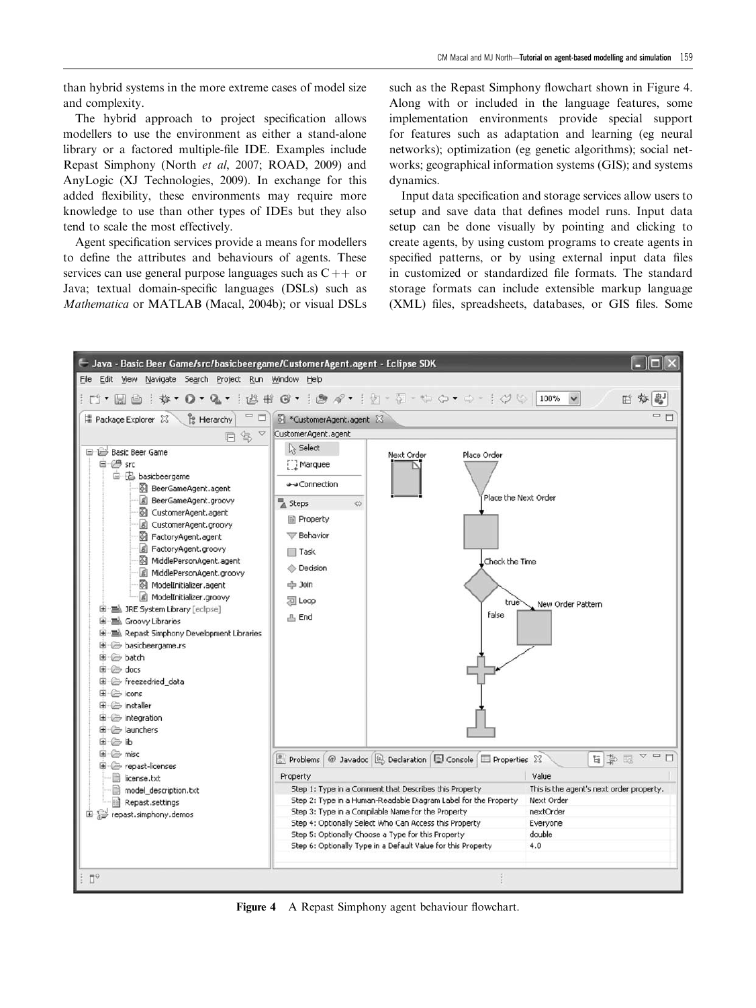than hybrid systems in the more extreme cases of model size and complexity.

The hybrid approach to project specification allows modellers to use the environment as either a stand-alone library or a factored multiple-file IDE. Examples include Repast Simphony (North et al, 2007; ROAD, 2009) and AnyLogic (XJ Technologies, 2009). In exchange for this added flexibility, these environments may require more knowledge to use than other types of IDEs but they also tend to scale the most effectively.

Agent specification services provide a means for modellers to define the attributes and behaviours of agents. These services can use general purpose languages such as  $C_{++}$  or Java; textual domain-specific languages (DSLs) such as Mathematica or MATLAB (Macal, 2004b); or visual DSLs such as the Repast Simphony flowchart shown in Figure 4. Along with or included in the language features, some implementation environments provide special support for features such as adaptation and learning (eg neural networks); optimization (eg genetic algorithms); social networks; geographical information systems (GIS); and systems dynamics.

Input data specification and storage services allow users to setup and save data that defines model runs. Input data setup can be done visually by pointing and clicking to create agents, by using custom programs to create agents in specified patterns, or by using external input data files in customized or standardized file formats. The standard storage formats can include extensible markup language (XML) files, spreadsheets, databases, or GIS files. Some



Figure 4 A Repast Simphony agent behaviour flowchart.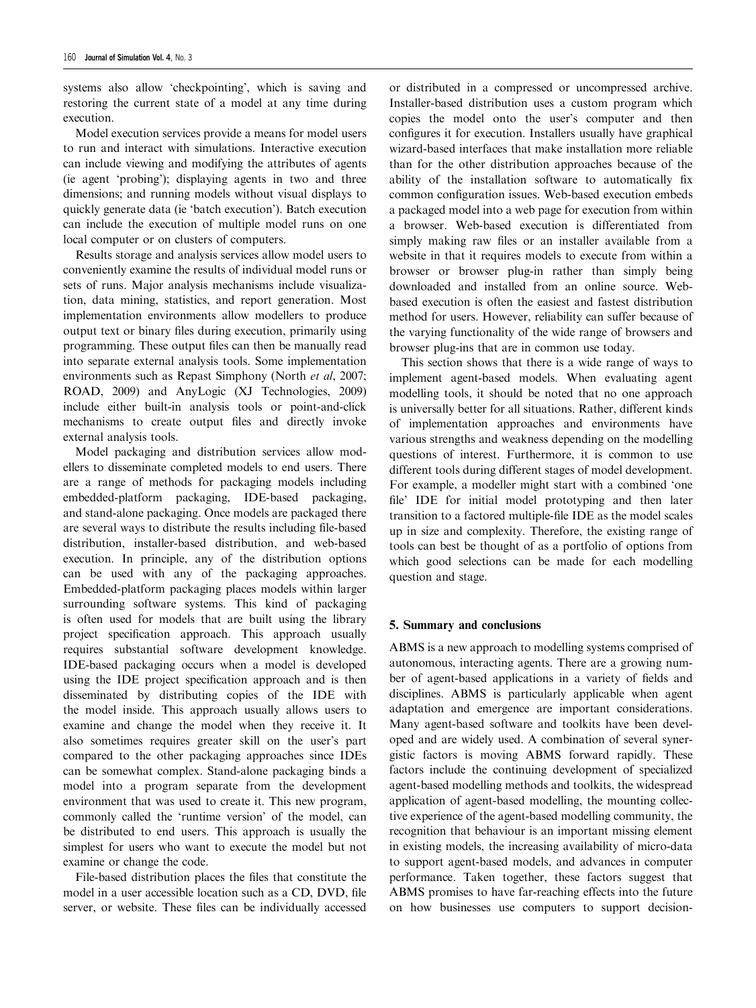systems also allow 'checkpointing', which is saving and restoring the current state of a model at any time during execution.

Model execution services provide a means for model users to run and interact with simulations. Interactive execution can include viewing and modifying the attributes of agents (ie agent 'probing'); displaying agents in two and three dimensions; and running models without visual displays to quickly generate data (ie 'batch execution'). Batch execution can include the execution of multiple model runs on one local computer or on clusters of computers.

Results storage and analysis services allow model users to conveniently examine the results of individual model runs or sets of runs. Major analysis mechanisms include visualization, data mining, statistics, and report generation. Most implementation environments allow modellers to produce output text or binary files during execution, primarily using programming. These output files can then be manually read into separate external analysis tools. Some implementation environments such as Repast Simphony (North et al, 2007; ROAD, 2009) and AnyLogic (XJ Technologies, 2009) include either built-in analysis tools or point-and-click mechanisms to create output files and directly invoke external analysis tools.

Model packaging and distribution services allow modellers to disseminate completed models to end users. There are a range of methods for packaging models including embedded-platform packaging, IDE-based packaging, and stand-alone packaging. Once models are packaged there are several ways to distribute the results including file-based distribution, installer-based distribution, and web-based execution. In principle, any of the distribution options can be used with any of the packaging approaches. Embedded-platform packaging places models within larger surrounding software systems. This kind of packaging is often used for models that are built using the library project specification approach. This approach usually requires substantial software development knowledge. IDE-based packaging occurs when a model is developed using the IDE project specification approach and is then disseminated by distributing copies of the IDE with the model inside. This approach usually allows users to examine and change the model when they receive it. It also sometimes requires greater skill on the user's part compared to the other packaging approaches since IDEs can be somewhat complex. Stand-alone packaging binds a model into a program separate from the development environment that was used to create it. This new program, commonly called the 'runtime version' of the model, can be distributed to end users. This approach is usually the simplest for users who want to execute the model but not examine or change the code.

File-based distribution places the files that constitute the model in a user accessible location such as a CD, DVD, file server, or website. These files can be individually accessed

or distributed in a compressed or uncompressed archive. Installer-based distribution uses a custom program which copies the model onto the user's computer and then configures it for execution. Installers usually have graphical wizard-based interfaces that make installation more reliable than for the other distribution approaches because of the ability of the installation software to automatically fix common configuration issues. Web-based execution embeds a packaged model into a web page for execution from within a browser. Web-based execution is differentiated from simply making raw files or an installer available from a website in that it requires models to execute from within a browser or browser plug-in rather than simply being downloaded and installed from an online source. Webbased execution is often the easiest and fastest distribution method for users. However, reliability can suffer because of the varying functionality of the wide range of browsers and browser plug-ins that are in common use today.

This section shows that there is a wide range of ways to implement agent-based models. When evaluating agent modelling tools, it should be noted that no one approach is universally better for all situations. Rather, different kinds of implementation approaches and environments have various strengths and weakness depending on the modelling questions of interest. Furthermore, it is common to use different tools during different stages of model development. For example, a modeller might start with a combined 'one file' IDE for initial model prototyping and then later transition to a factored multiple-file IDE as the model scales up in size and complexity. Therefore, the existing range of tools can best be thought of as a portfolio of options from which good selections can be made for each modelling question and stage.

#### 5. Summary and conclusions

ABMS is a new approach to modelling systems comprised of autonomous, interacting agents. There are a growing number of agent-based applications in a variety of fields and disciplines. ABMS is particularly applicable when agent adaptation and emergence are important considerations. Many agent-based software and toolkits have been developed and are widely used. A combination of several synergistic factors is moving ABMS forward rapidly. These factors include the continuing development of specialized agent-based modelling methods and toolkits, the widespread application of agent-based modelling, the mounting collective experience of the agent-based modelling community, the recognition that behaviour is an important missing element in existing models, the increasing availability of micro-data to support agent-based models, and advances in computer performance. Taken together, these factors suggest that ABMS promises to have far-reaching effects into the future on how businesses use computers to support decision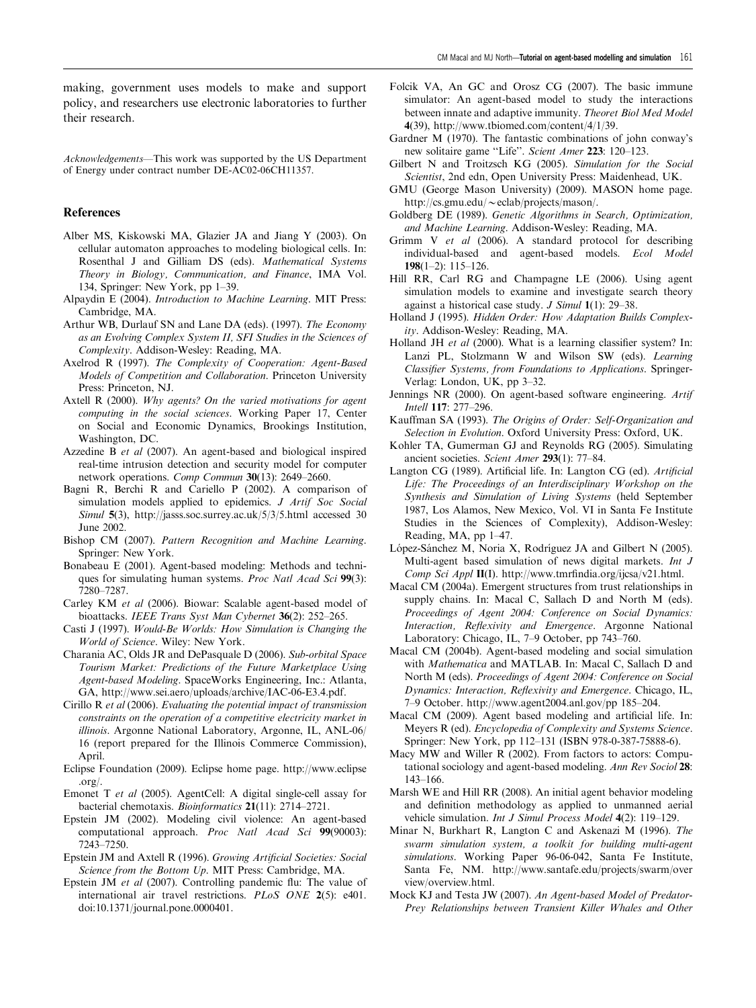making, government uses models to make and support policy, and researchers use electronic laboratories to further their research.

Acknowledgements—This work was supported by the US Department of Energy under contract number DE-AC02-06CH11357.

#### References

- Alber MS, Kiskowski MA, Glazier JA and Jiang Y (2003). On cellular automaton approaches to modeling biological cells. In: Rosenthal J and Gilliam DS (eds). Mathematical Systems Theory in Biology, Communication, and Finance, IMA Vol. 134, Springer: New York, pp 1–39.
- Alpaydin E (2004). Introduction to Machine Learning. MIT Press: Cambridge, MA.
- Arthur WB, Durlauf SN and Lane DA (eds). (1997). The Economy as an Evolving Complex System II, SFI Studies in the Sciences of Complexity. Addison-Wesley: Reading, MA.
- Axelrod R (1997). The Complexity of Cooperation: Agent-Based Models of Competition and Collaboration. Princeton University Press: Princeton, NJ.
- Axtell R (2000). Why agents? On the varied motivations for agent computing in the social sciences. Working Paper 17, Center on Social and Economic Dynamics, Brookings Institution, Washington, DC.
- Azzedine B et al (2007). An agent-based and biological inspired real-time intrusion detection and security model for computer network operations. Comp Commun 30(13): 2649–2660.
- Bagni R, Berchi R and Cariello P (2002). A comparison of simulation models applied to epidemics. J Artif Soc Social Simul 5(3), http://jasss.soc.surrey.ac.uk/5/3/5.html accessed 30 June 2002.
- Bishop CM (2007). Pattern Recognition and Machine Learning. Springer: New York.
- Bonabeau E (2001). Agent-based modeling: Methods and techniques for simulating human systems. Proc Natl Acad Sci 99(3): 7280–7287.
- Carley KM et al (2006). Biowar: Scalable agent-based model of bioattacks. IEEE Trans Syst Man Cybernet 36(2): 252–265.
- Casti J (1997). Would-Be Worlds: How Simulation is Changing the World of Science. Wiley: New York.
- Charania AC, Olds JR and DePasquale D (2006). Sub-orbital Space Tourism Market: Predictions of the Future Marketplace Using Agent-based Modeling. SpaceWorks Engineering, Inc.: Atlanta, GA, http://www.sei.aero/uploads/archive/IAC-06-E3.4.pdf.
- Cirillo R et al (2006). Evaluating the potential impact of transmission constraints on the operation of a competitive electricity market in illinois. Argonne National Laboratory, Argonne, IL, ANL-06/ 16 (report prepared for the Illinois Commerce Commission), April.
- Eclipse Foundation (2009). Eclipse home page. http://www.eclipse .org/.
- Emonet T et al (2005). AgentCell: A digital single-cell assay for bacterial chemotaxis. Bioinformatics 21(11): 2714–2721.
- Epstein JM (2002). Modeling civil violence: An agent-based computational approach. Proc Natl Acad Sci 99(90003): 7243–7250.
- Epstein JM and Axtell R (1996). Growing Artificial Societies: Social Science from the Bottom Up. MIT Press: Cambridge, MA.
- Epstein JM et al (2007). Controlling pandemic flu: The value of international air travel restrictions. PLoS ONE 2(5): e401. doi:10.1371/journal.pone.0000401.
- Folcik VA, An GC and Orosz CG (2007). The basic immune simulator: An agent-based model to study the interactions between innate and adaptive immunity. Theoret Biol Med Model 4(39), http://www.tbiomed.com/content/4/1/39.
- Gardner M (1970). The fantastic combinations of john conway's new solitaire game ''Life''. Scient Amer 223: 120–123.
- Gilbert N and Troitzsch KG (2005). Simulation for the Social Scientist, 2nd edn, Open University Press: Maidenhead, UK.
- GMU (George Mason University) (2009). MASON home page. http://cs.gmu.edu/ $\sim$ eclab/projects/mason/.
- Goldberg DE (1989). Genetic Algorithms in Search, Optimization, and Machine Learning. Addison-Wesley: Reading, MA.
- Grimm V et al (2006). A standard protocol for describing individual-based and agent-based models. Ecol Model 198(1–2): 115–126.
- Hill RR, Carl RG and Champagne LE (2006). Using agent simulation models to examine and investigate search theory against a historical case study. J Simul 1(1): 29–38.
- Holland J (1995). Hidden Order: How Adaptation Builds Complexity. Addison-Wesley: Reading, MA.
- Holland JH et al (2000). What is a learning classifier system? In: Lanzi PL, Stolzmann W and Wilson SW (eds). Learning Classifier Systems, from Foundations to Applications. Springer-Verlag: London, UK, pp 3–32.
- Jennings NR (2000). On agent-based software engineering. Artif Intell 117: 277–296.
- Kauffman SA (1993). The Origins of Order: Self-Organization and Selection in Evolution. Oxford University Press: Oxford, UK.
- Kohler TA, Gumerman GJ and Reynolds RG (2005). Simulating ancient societies. Scient Amer 293(1): 77–84.
- Langton CG (1989). Artificial life. In: Langton CG (ed). Artificial Life: The Proceedings of an Interdisciplinary Workshop on the Synthesis and Simulation of Living Systems (held September 1987, Los Alamos, New Mexico, Vol. VI in Santa Fe Institute Studies in the Sciences of Complexity), Addison-Wesley: Reading, MA, pp 1–47.
- López-Sánchez M, Noria X, Rodríguez JA and Gilbert N (2005). Multi-agent based simulation of news digital markets. Int J Comp Sci Appl II(I). http://www.tmrfindia.org/ijcsa/v21.html.
- Macal CM (2004a). Emergent structures from trust relationships in supply chains. In: Macal C, Sallach D and North M (eds). Proceedings of Agent 2004: Conference on Social Dynamics: Interaction, Reflexivity and Emergence. Argonne National Laboratory: Chicago, IL, 7–9 October, pp 743–760.
- Macal CM (2004b). Agent-based modeling and social simulation with Mathematica and MATLAB. In: Macal C, Sallach D and North M (eds). Proceedings of Agent 2004: Conference on Social Dynamics: Interaction, Reflexivity and Emergence. Chicago, IL, 7–9 October. http://www.agent2004.anl.gov/pp 185–204.
- Macal CM (2009). Agent based modeling and artificial life. In: Meyers R (ed). Encyclopedia of Complexity and Systems Science. Springer: New York, pp 112–131 (ISBN 978-0-387-75888-6).
- Macy MW and Willer R (2002). From factors to actors: Computational sociology and agent-based modeling. Ann Rev Sociol 28: 143–166.
- Marsh WE and Hill RR (2008). An initial agent behavior modeling and definition methodology as applied to unmanned aerial vehicle simulation. Int J Simul Process Model 4(2): 119-129.
- Minar N, Burkhart R, Langton C and Askenazi M (1996). The swarm simulation system, a toolkit for building multi-agent simulations. Working Paper 96-06-042, Santa Fe Institute, Santa Fe, NM. http://www.santafe.edu/projects/swarm/over view/overview.html.
- Mock KJ and Testa JW (2007). An Agent-based Model of Predator-Prey Relationships between Transient Killer Whales and Other